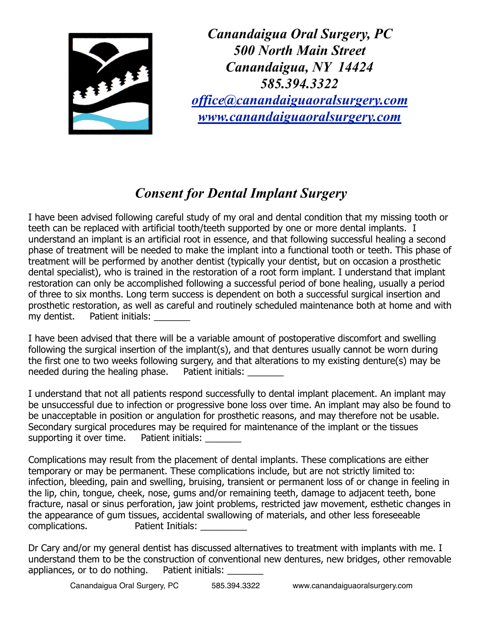

*Canandaigua Oral Surgery, PC 500 North Main Street Canandaigua, NY 14424 585.394.3322 [office@canandaiguaoralsurgery.com](mailto:office@canandaiguaoralsurgery.com) [www.canandaiguaoralsurgery.com](http://www.canandaiguaoralsurgery.com)*

## *Consent for Dental Implant Surgery*

I have been advised following careful study of my oral and dental condition that my missing tooth or teeth can be replaced with artificial tooth/teeth supported by one or more dental implants. I understand an implant is an artificial root in essence, and that following successful healing a second phase of treatment will be needed to make the implant into a functional tooth or teeth. This phase of treatment will be performed by another dentist (typically your dentist, but on occasion a prosthetic dental specialist), who is trained in the restoration of a root form implant. I understand that implant restoration can only be accomplished following a successful period of bone healing, usually a period of three to six months. Long term success is dependent on both a successful surgical insertion and prosthetic restoration, as well as careful and routinely scheduled maintenance both at home and with my dentist. Patient initials:

I have been advised that there will be a variable amount of postoperative discomfort and swelling following the surgical insertion of the implant(s), and that dentures usually cannot be worn during the first one to two weeks following surgery, and that alterations to my existing denture(s) may be needed during the healing phase. Patient initials:

I understand that not all patients respond successfully to dental implant placement. An implant may be unsuccessful due to infection or progressive bone loss over time. An implant may also be found to be unacceptable in position or angulation for prosthetic reasons, and may therefore not be usable. Secondary surgical procedures may be required for maintenance of the implant or the tissues supporting it over time. Patient initials:

Complications may result from the placement of dental implants. These complications are either temporary or may be permanent. These complications include, but are not strictly limited to: infection, bleeding, pain and swelling, bruising, transient or permanent loss of or change in feeling in the lip, chin, tongue, cheek, nose, gums and/or remaining teeth, damage to adjacent teeth, bone fracture, nasal or sinus perforation, jaw joint problems, restricted jaw movement, esthetic changes in the appearance of gum tissues, accidental swallowing of materials, and other less foreseeable complications. Patient Initials: \_\_\_\_\_\_\_\_\_

Dr Cary and/or my general dentist has discussed alternatives to treatment with implants with me. I understand them to be the construction of conventional new dentures, new bridges, other removable appliances, or to do nothing. Patient initials: